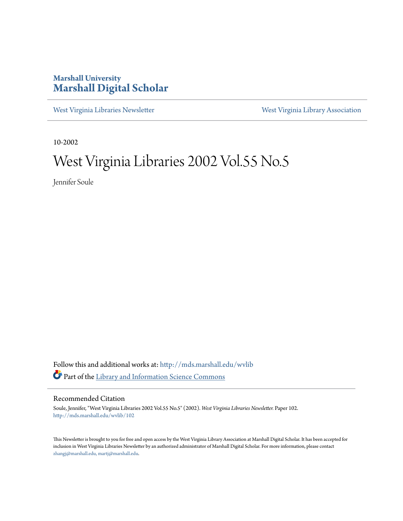#### **Marshall University [Marshall Digital Scholar](http://mds.marshall.edu?utm_source=mds.marshall.edu%2Fwvlib%2F102&utm_medium=PDF&utm_campaign=PDFCoverPages)**

[West Virginia Libraries Newsletter](http://mds.marshall.edu/wvlib?utm_source=mds.marshall.edu%2Fwvlib%2F102&utm_medium=PDF&utm_campaign=PDFCoverPages) [West Virginia Library Association](http://mds.marshall.edu/wvla?utm_source=mds.marshall.edu%2Fwvlib%2F102&utm_medium=PDF&utm_campaign=PDFCoverPages)

10-2002

### West Virginia Libraries 2002 Vol.55 No.5

Jennifer Soule

Follow this and additional works at: [http://mds.marshall.edu/wvlib](http://mds.marshall.edu/wvlib?utm_source=mds.marshall.edu%2Fwvlib%2F102&utm_medium=PDF&utm_campaign=PDFCoverPages) Part of the [Library and Information Science Commons](http://network.bepress.com/hgg/discipline/1018?utm_source=mds.marshall.edu%2Fwvlib%2F102&utm_medium=PDF&utm_campaign=PDFCoverPages)

#### Recommended Citation

Soule, Jennifer, "West Virginia Libraries 2002 Vol.55 No.5" (2002). *West Virginia Libraries Newsletter.* Paper 102. [http://mds.marshall.edu/wvlib/102](http://mds.marshall.edu/wvlib/102?utm_source=mds.marshall.edu%2Fwvlib%2F102&utm_medium=PDF&utm_campaign=PDFCoverPages)

This Newsletter is brought to you for free and open access by the West Virginia Library Association at Marshall Digital Scholar. It has been accepted for inclusion in West Virginia Libraries Newsletter by an authorized administrator of Marshall Digital Scholar. For more information, please contact [zhangj@marshall.edu, martj@marshall.edu](mailto:zhangj@marshall.edu,%20martj@marshall.edu).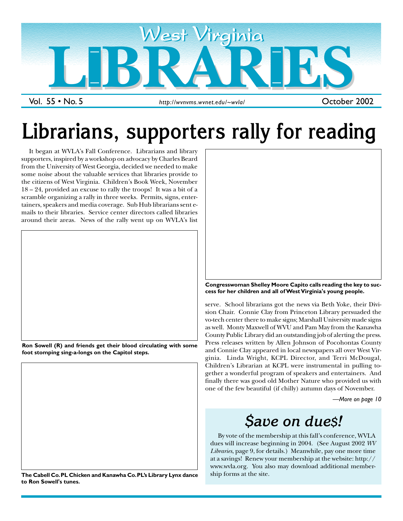

# **Librarians, supporters rally for reading**

It began at WVLA's Fall Conference. Librarians and library supporters, inspired by a workshop on advocacy by Charles Beard from the University of West Georgia, decided we needed to make some noise about the valuable services that libraries provide to the citizens of West Virginia. Children's Book Week, November 18 – 24, provided an excuse to rally the troops! It was a bit of a scramble organizing a rally in three weeks. Permits, signs, entertainers, speakers and media coverage. Sub Hub librarians sent emails to their libraries. Service center directors called libraries around their areas. News of the rally went up on WVLA's list







**The Cabell Co. PL Chicken and Kanawha Co. PL's Library Lynx dance to Ron Sowell's tunes.**



**Congresswoman Shelley Moore Capito calls reading the key to success for her children and all of West Virginia's young people.**

serve. School librarians got the news via Beth Yoke, their Division Chair. Connie Clay from Princeton Library persuaded the vo-tech center there to make signs; Marshall University made signs as well. Monty Maxwell of WVU and Pam May from the Kanawha County Public Library did an outstanding job of alerting the press. Press releases written by Allen Johnson of Pocohontas County and Connie Clay appeared in local newspapers all over West Virginia. Linda Wright, KCPL Director, and Terri McDougal, Children's Librarian at KCPL were instrumental in pulling together a wonderful program of speakers and entertainers. And finally there was good old Mother Nature who provided us with one of the few beautiful (if chilly) autumn days of November.

*—More on page 10*

### *\$ave on due\$!*

By vote of the membership at this fall's conference, WVLA dues will increase beginning in 2004. (See August 2002 *WV Libraries*, page 9, for details.) Meanwhile, pay one more time at a savings! Renew your membership at the website: http:// www.wvla.org. You also may download additional membership forms at the site.

1 October 2002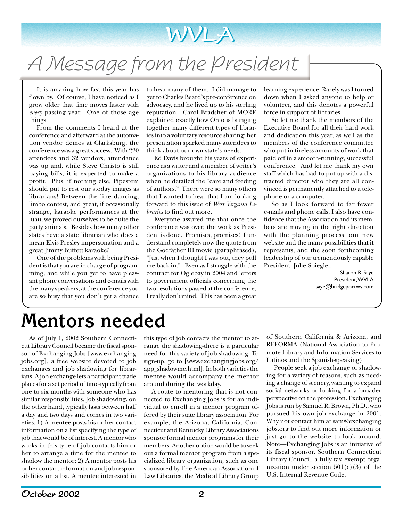

## A Message from the President

It is amazing how fast this year has flown by. Of course, I have noticed as I grow older that time moves faster with *every* passing year. One of those age things.

From the comments I heard at the conference and afterward at the automation vendor demos at Clarksburg, the conference was a great success. With 220 attendees and 32 vendors, attendance was up and, while Steve Christo is still paying bills, it is expected to make a profit. Plus, if nothing else, Pipestem should put to rest our stodgy images as librarians! Between the line dancing, limbo contest, and great, if occasionally strange, karaoke performances at the luau, we proved ourselves to be quite the party animals. Besides how many other states have a state librarian who does a mean Elvis Presley impersonation and a great Jimmy Buffett karaoke?

One of the problems with being President is that you are in charge of programming, and while you get to have pleasant phone conversations and e-mails with the many speakers, at the conference you are so busy that you don't get a chance

to hear many of them. I did manage to get to Charles Beard's pre-conference on advocacy, and he lived up to his sterling reputation. Carol Bradsher of MORE explained exactly how Ohio is bringing together many different types of libraries into a voluntary resource sharing; her presentation sparked many attendees to think about our own state's needs.

Ed Davis brought his years of experience as a writer and a member of writer's organizations to his library audience when he detailed the "care and feeding of authors." There were so many others that I wanted to hear that I am looking forward to this issue of *West Virginia Libraries* to find out more.

Everyone assured me that once the conference was over, the work as President is done. Promises, promises! I understand completely now the quote from the Godfather III movie (paraphrased), "Just when I thought I was out, they pull me back in." Even as I struggle with the contract for Oglebay in 2004 and letters to government officials concerning the two resolutions passed at the conference, I really don't mind. This has been a great learning experience. Rarely was I turned down when I asked anyone to help or volunteer, and this denotes a powerful force in support of libraries.

So let me thank the members of the Executive Board for all their hard work and dedication this year, as well as the members of the conference committee who put in tireless amounts of work that paid off in a smooth-running, successful conference. And let me thank my own staff which has had to put up with a distracted director who they are all convinced is permanently attached to a telephone or a computer.

So as I look forward to far fewer e-mails and phone calls, I also have confidence that the Association and its members are moving in the right direction with the planning process, our new website and the many possibilities that it represents, and the soon forthcoming leadership of our tremendously capable President, Julie Spiegler.

> Sharon R. Saye President, WVLA saye@bridgeportwv.com

## **Mentors needed**

As of July 1, 2002 Southern Connecticut Library Council became the fiscal sponsor of Exchanging Jobs [www.exchanging jobs.org], a free website devoted to job exchanges and job shadowing for librarians. A job exchange lets a participant trade places for a set period of time-typically from one to six months-with someone who has similar responsibilities. Job shadowing, on the other hand, typically lasts between half a day and two days and comes in two varieties: 1) A mentee posts his or her contact information on a list specifying the type of job that would be of interest. A mentor who works in this type of job contacts him or her to arrange a time for the mentee to shadow the mentor; 2) A mentor posts his or her contact information and job responsibilities on a list. A mentee interested in

this type of job contacts the mentor to arrange the shadowing-there is a particular need for this variety of job shadowing. To sign-up, go to [www.exchangingjobs.org/ app\_shadowme.html]. In both varieties the mentee would accompany the mentor around during the workday.

A route to mentoring that is not connected to Exchanging Jobs is for an individual to enroll in a mentor program offered by their state library association. For example, the Arizona, California, Connecticut and Kentucky Library Associations sponsor formal mentor programs for their members. Another option would be to seek out a formal mentor program from a specialized library organization, such as one sponsored by The American Association of Law Libraries, the Medical Library Group

of Southern California & Arizona, and REFORMA (National Association to Promote Library and Information Services to Latinos and the Spanish-speaking).

People seek a job exchange or shadowing for a variety of reasons, such as needing a change of scenery, wanting to expand social networks or looking for a broader perspective on the profession. Exchanging Jobs is run by Samuel R. Brown, Ph.D., who pursued his own job exchange in 2001. Why not contact him at sam@exchanging jobs.org to find out more information or just go to the website to look around. Note—Exchanging Jobs is an initiative of its fiscal sponsor, Southern Connecticut Library Council, a fully tax exempt organization under section  $501(c)(3)$  of the U.S. Internal Revenue Code.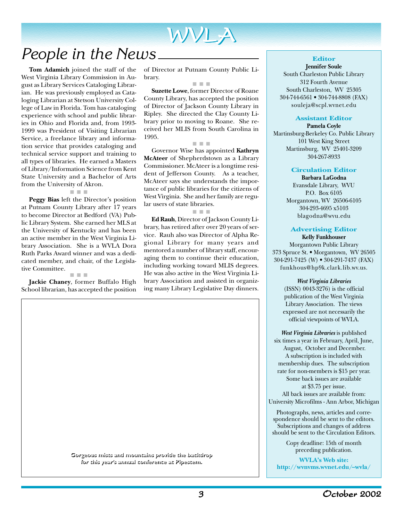# WVLA WVLA

### *People in the News*

**Tom Adamich** joined the staff of the West Virginia Library Commission in August as Library Services Cataloging Librarian. He was previously employed as Cataloging Librarian at Stetson University College of Law in Florida. Tom has cataloging experience with school and public libraries in Ohio and Florida and, from 1993- 1999 was President of Visiting Librarian Service, a freelance library and information service that provides cataloging and technical service support and training to all types of libraries. He earned a Masters of Library/Information Science from Kent State University and a Bachelor of Arts from the University of Akron.

■ ■ ■

**Peggy Bias** left the Director's position at Putnam County Library after 17 years to become Director at Bedford (VA) Public Library System. She earned her MLS at the University of Kentucky and has been an active member in the West Virginia Library Association. She is a WVLA Dora Ruth Parks Award winner and was a dedicated member, and chair, of the Legislative Committee.

■ ■ ■

**Jackie Chaney**, former Buffalo High School librarian, has accepted the position of Director at Putnam County Public Library.

■ ■ ■ **Suzette Lowe**, former Director of Roane County Library, has accepted the position of Director of Jackson County Library in Ripley. She directed the Clay County Library prior to moving to Roane. She received her MLIS from South Carolina in 1995.

■ ■ ■

Governor Wise has appointed **Kathryn McAteer** of Shepherdstown as a Library Commissioner. McAteer is a longtime resident of Jefferson County. As a teacher, McAteer says she understands the importance of public libraries for the citizens of West Virginia. She and her family are regular users of state libraries.

■ ■ ■

**Ed Rauh**, Director of Jackson County Library, has retired after over 20 years of service. Rauh also was Director of Alpha Regional Library for many years and mentored a number of library staff, encouraging them to continue their education, including working toward MLIS degrees. He was also active in the West Virginia Library Association and assisted in organizing many Library Legislative Day dinners.

**Editor**

**Jennifer Soule** South Charleston Public Library 312 Fourth Avenue South Charleston, WV 25305 304-744-6561 • 304-744-8808 (FAX) souleja@scpl.wvnet.edu

#### **Assistant Editor**

**Pamela Coyle** Martinsburg-Berkeley Co. Public Library 101 West King Street Martinsburg, WV 25401-3209 304-267-8933

#### **Circulation Editor**

**Barbara LaGodna** Evansdale Library, WVU P.O. Box 6105 Morgantown, WV 26506-6105 304-293-4695 x5103 blagodna@wvu.edu

#### **Advertising Editor**

**Kelly Funkhouser** Morgantown Public Library 373 Spruce St. • Morgantown, WV 26505 304-291-7425 (W) • 304-291-7437 (FAX) funkhous@hp9k.clark.lib.wv.us.

> *West Virginia Libraries* (ISSN) 0043-3276) is the official publication of the West Virginia Library Association. The views expressed are not necessarily the official viewpoints of WVLA.

*West Virginia Libraries* is published six times a year in February, April, June, August, October and December. A subscription is included with membership dues. The subscription rate for non-members is \$15 per year. Some back issues are available at \$3.75 per issue. All back issues are available from:

University Microfilms - Ann Arbor, Michigan

Photographs, news, articles and correspondence should be sent to the editors. Subscriptions and changes of address should be sent to the Circulation Editors.

> Copy deadline: 15th of month preceding publication.

**WVLA's Web site: http://wvnvms.wvnet.edu/~wvla/**

**Gorgeous mists and mountains provide the backdrop Gorgeous mists and mountains provide the backdrop for this year's annual conference at Pipestem. for this year's annual conference at Pipestem.**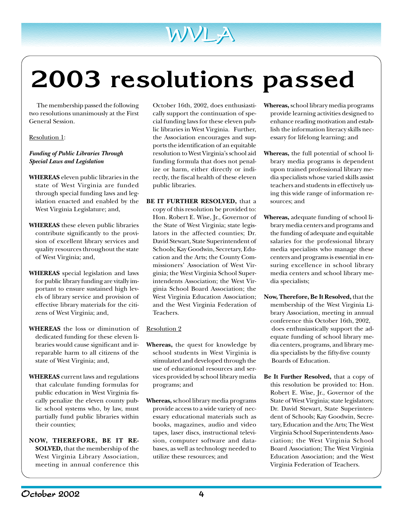# **2003 resolutions passed**

WVLA WVLA

The membership passed the following two resolutions unanimously at the First General Session.

#### Resolution 1:

#### *Funding of Public Libraries Through Special Laws and Legislation*

- **WHEREAS** eleven public libraries in the state of West Virginia are funded through special funding laws and legislation enacted and enabled by the West Virginia Legislature; and,
- **WHEREAS** these eleven public libraries contribute significantly to the provision of excellent library services and quality resources throughout the state of West Virginia; and,
- **WHEREAS** special legislation and laws for public library funding are vitally important to ensure sustained high levels of library service and provision of effective library materials for the citizens of West Virginia; and,
- **WHEREAS** the loss or diminution of dedicated funding for these eleven libraries would cause significant and irreparable harm to all citizens of the state of West Virginia; and,
- **WHEREAS** current laws and regulations that calculate funding formulas for public education in West Virginia fiscally penalize the eleven county public school systems who, by law, must partially fund public libraries within their counties;
- **NOW, THEREFORE, BE IT RE-SOLVED,** that the membership of the West Virginia Library Association, meeting in annual conference this

October 16th, 2002, does enthusiastically support the continuation of special funding laws for these eleven public libraries in West Virginia. Further, the Association encourages and supports the identification of an equitable resolution to West Virginia's school aid funding formula that does not penalize or harm, either directly or indirectly, the fiscal health of these eleven public libraries.

**BE IT FURTHER RESOLVED,** that a copy of this resolution be provided to: Hon. Robert E. Wise, Jr., Governor of the State of West Virginia; state legislators in the affected counties; Dr. David Stewart, State Superintendent of Schools; Kay Goodwin, Secretary, Education and the Arts; the County Commissioners' Association of West Virginia; the West Virginia School Superintendents Association; the West Virginia School Board Association; the West Virginia Education Association; and the West Virginia Federation of Teachers.

#### Resolution 2

- **Whereas,** the quest for knowledge by school students in West Virginia is stimulated and developed through the use of educational resources and services provided by school library media programs; and
- **Whereas,** school library media programs provide access to a wide variety of necessary educational materials such as books, magazines, audio and video tapes, laser discs, instructional television, computer software and databases, as well as technology needed to utilize these resources; and
- **Whereas,** school library media programs provide learning activities designed to enhance reading motivation and establish the information literacy skills necessary for lifelong learning; and
- **Whereas,** the full potential of school library media programs is dependent upon trained professional library media specialists whose varied skills assist teachers and students in effectively using this wide range of information resources; and
- **Whereas,** adequate funding of school library media centers and programs and the funding of adequate and equitable salaries for the professional library media specialists who manage these centers and programs is essential in ensuring excellence in school library media centers and school library media specialists;
- **Now, Therefore, Be It Resolved,** that the membership of the West Virginia Library Association, meeting in annual conference this October 16th, 2002, does enthusiastically support the adequate funding of school library media centers, programs, and library media specialists by the fifty-five county Boards of Education.
- **Be It Further Resolved,** that a copy of this resolution be provided to: Hon. Robert E. Wise, Jr., Governor of the State of West Virginia; state legislators; Dr. David Stewart, State Superintendent of Schools; Kay Goodwin, Secretary, Education and the Arts; The West Virginia School Superintendents Association; the West Virginia School Board Association; The West Virginia Education Association; and the West Virginia Federation of Teachers.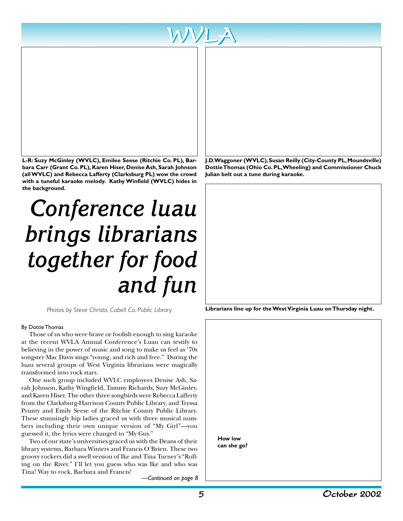

**L-R: Suzy McGinley (WVLC), Emilee Seese (Ritchie Co. PL), Barbara Carr (Grant Co. PL), Karen Hiser, Denise Ash, Sarah Johnson (all WVLC) and Rebecca Lafferty (Clarksburg PL) wow the crowd with a tuneful karaoke melody. Kathy Winfield (WVLC) hides in the background.**

# *Conference luau brings librarians together for food and fun*

#### By Dottie Thomas

Those of us who were brave or foolish enough to sing karaoke at the recent WVLA Annual Conference's Luau can testify to believing in the power of music and song to make us feel as '70s songster Mac Davis sings "young, and rich and free." During the luau several groups of West Virginia librarians were magically transformed into rock stars.

One such group included WVLC employees Denise Ash, Sarah Johnson, Kathy Wingfield, Tammy Richards, Suzy McGinley, and Karen Hiser. The other three songbirds were Rebecca Lafferty from the Clarksburg-Harrison County Public Library, and Tressa Prunty and Emily Seese of the Ritchie County Public Library. These stunningly hip ladies graced us with three musical numbers including their own unique version of "My Girl"—you guessed it, the lyrics were changed to "My Guy."

Two of our state's universities graced us with the Deans of their library systems, Barbara Winters and Francis O'Brien. These two groovy rockers did a swell version of Ike and Tina Turner's "Rolling on the River." I'll let you guess who was Ike and who was Tina! Way to rock, Barbara and Francis!

*—Continued on page 8*

**J.D. Waggoner (WVLC), Susan Reilly (City-County PL, Moundsville) Dottie Thomas (Ohio Co. PL, Wheeling) and Commissioner Chuck Julian belt out a tune during karaoke.**

**Librarians line up for the West Virginia Luau on Thursday night.** *Photos by Steve Christo, Cabell Co. Public Library*

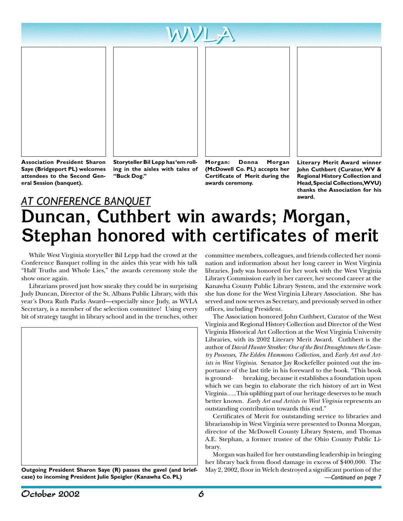



**Association President Sharon Saye (Bridgeport PL) welcomes attendees to the Second General Session (banquet).**

**Storyteller Bil Lepp has 'em rolling in the aisles with tales of "Buck Dog."**

**Morgan: Donna Morgan (McDowell Co. PL) accepts her Certificate of Merit during the awards ceremony.**



**Literary Merit Award winner John Cuthbert (Curator, WV & Regional History Collection and Head, Special Collections, WVU) thanks the Association for his award.**

### *AT CONFERENCE BANQUET* **Duncan, Cuthbert win awards; Morgan, Stephan honored with certificates of merit**

While West Virginia storyteller Bil Lepp had the crowd at the Conference Banquet rolling in the aisles this year with his talk "Half Truths and Whole Lies," the awards ceremony stole the show once again.

Librarians proved just how sneaky they could be in surprising Judy Duncan, Director of the St. Albans Public Library, with this year's Dora Ruth Parks Award—especially since Judy, as WVLA Secretary, is a member of the selection committee! Using every bit of strategy taught in library school and in the trenches, other



**case) to incoming President Julie Speigler (Kanawha Co. PL)** *—Continued on page 7*

committee members, colleagues, and friends collected her nomination and information about her long career in West Virginia libraries. Judy was honored for her work with the West Virginia Library Commission early in her career, her second career at the Kanawha County Public Library System, and the extensive work she has done for the West Virginia Library Association. She has served and now serves as Secretary, and previously served in other offices, including President.

The Association honored John Cuthbert, Curator of the West Virginia and Regional History Collection and Director of the West Virginia Historical Art Collection at the West Virginia University Libraries, with its 2002 Literary Merit Award. Cuthbert is the author of *David Hunter Strother: One of the Best Draughtsmen the Country Possesses*, *The Edden Hammons Collection*, and *Early Art and Artists in West Virginia*. Senator Jay Rockefeller pointed out the importance of the last title in his foreward to the book. "This book is ground- breaking, because it establishes a foundation upon which we can begin to elaborate the rich history of art in West Virginia…..This uplifting part of our heritage deserves to be much better known. *Early Art and Artists in West Virginia* represents an outstanding contribution towards this end."

Certificates of Merit for outstanding service to libraries and librarianship in West Virginia were presented to Donna Morgan, director of the McDowell County Library System, and Thomas A.E. Stephan, a former trustee of the Ohio County Public Library.

Morgan was hailed for her outstanding leadership in bringing her library back from flood damage in excess of \$400,000. The **Outgoing President Sharon Saye (R) passes the gavel (and brief-** May 2, 2002, floor in Welch destroyed a significant portion of the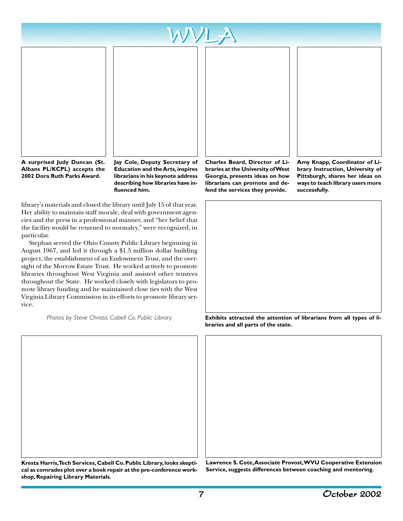





**A surprised Judy Duncan (St. Albans PL/KCPL) accepts the 2002 Dora Ruth Parks Award.**

**Education and the Arts, inspires librarians in his keynote address describing how libraries have influenced him.**

library's materials and closed the library until July 15 of that year. Her ability to maintain staff morale, deal with government agencies and the press in a professional manner, and "her belief that the facility would be returned to normalcy," were recognized, in particular.

Stephan served the Ohio County Public Library beginning in August 1967, and led it through a \$1.5 million dollar building project, the establishment of an Endowment Trust, and the oversight of the Morrow Estate Trust. He worked actively to promote libraries throughout West Virginia and assisted other trustees throughout the State. He worked closely with legislators to promote library funding and he maintained close ties with the West Virginia Library Commission in its efforts to promote library service.

*Photos by Steve Christo, Cabell Co. Public Library*



**Charles Beard, Director of Libraries at the University of West Georgia, presents ideas on how librarians can promote and defend the services they provide.**

**Amy Knapp, Coordinator of Library Instruction, University of Pittsburgh, shares her ideas on ways to teach library users more successfully.**



**Exhibits attracted the attention of librarians from all types of libraries and all parts of the state.**

**Kresta Harris, Tech Services, Cabell Co. Public Library, looks skeptical as comrades plot over a book repair at the pre-conference workshop, Repairing Library Materials.**

**Lawrence S. Cote, Associate Provost, WVU Cooperative Extension Service, suggests differences between coaching and mentoring.**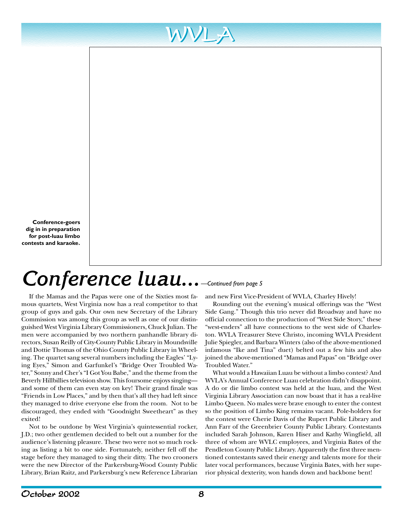**Conference-goers dig in in preparation for post-luau limbo contests and karaoke.**

## *Conference luau... —Continued from page 5*

If the Mamas and the Papas were one of the Sixties most famous quartets, West Virginia now has a real competitor to that group of guys and gals. Our own new Secretary of the Library Commission was among this group as well as one of our distinguished West Virginia Library Commissioners, Chuck Julian. The men were accompanied by two northern panhandle library directors, Susan Reilly of City-County Public Library in Moundsville and Dottie Thomas of the Ohio County Public Library in Wheeling. The quartet sang several numbers including the Eagles' "Lying Eyes," Simon and Garfunkel's "Bridge Over Troubled Water," Sonny and Cher's "I Got You Babe," and the theme from the Beverly Hillbillies television show. This foursome enjoys singing and some of them can even stay on key! Their grand finale was "Friends in Low Places," and by then that's all they had left since they managed to drive everyone else from the room. Not to be discouraged, they ended with "Goodnight Sweetheart" as they exited!

Not to be outdone by West Virginia's quintessential rocker, J.D.; two other gentlemen decided to belt out a number for the audience's listening pleasure. These two were not so much rocking as listing a bit to one side. Fortunately, neither fell off the stage before they managed to sing their ditty. The two crooners were the new Director of the Parkersburg-Wood County Public Library, Brian Raitz, and Parkersburg's new Reference Librarian

and new First Vice-President of WVLA, Charley Hively!

Rounding out the evening's musical offerings was the "West Side Gang." Though this trio never did Broadway and have no official connection to the production of "West Side Story," these "west-enders" all have connections to the west side of Charleston. WVLA Treasurer Steve Christo, incoming WVLA President Julie Spiegler, and Barbara Winters (also of the above-mentioned infamous "Ike and Tina" duet) belted out a few hits and also joined the above-mentioned "Mamas and Papas" on "Bridge over Troubled Water."

What would a Hawaiian Luau be without a limbo contest? And WVLA's Annual Conference Luau celebration didn't disappoint. A do or die limbo contest was held at the luau, and the West Virginia Library Association can now boast that it has a real-live Limbo Queen. No males were brave enough to enter the contest so the position of Limbo King remains vacant. Pole-holders for the contest were Cherie Davis of the Rupert Public Library and Ann Farr of the Greenbrier County Public Library. Contestants included Sarah Johnson, Karen Hiser and Kathy Wingfield, all three of whom are WVLC employees, and Virginia Bates of the Pendleton County Public Library. Apparently the first three mentioned contestants saved their energy and talents more for their later vocal performances, because Virginia Bates, with her superior physical dexterity, won hands down and backbone bent!

WVLA WVLA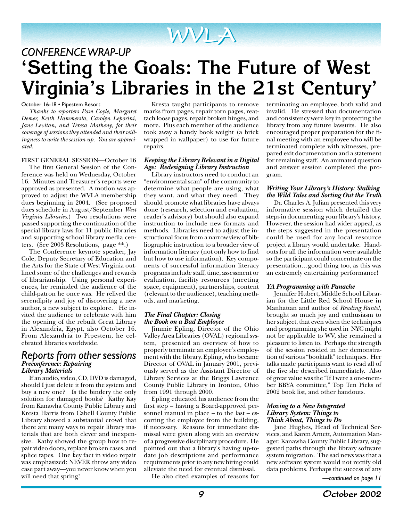# WVLA WVLA

*CONFERENCE WRAP-UP* **'Setting the Goals: The Future of West Virginia's Libraries in the 21st Century'**

#### October 16-18 • Pipestem Resort

*Thanks to reporters Pam Coyle, Margaret Demer, Keith Hammersla, Carolyn Leporini, Jane Levitan, and Teresa Matheny, for their coverage of sessions they attended and their willingness to write the session up. You are appreciated.*

#### FIRST GENERAL SESSION—October 16

The first General Session of the Conference was held on Wednesday, October 16. Minutes and Treasurer's reports were approved as presented. A motion was approved to adjust the WVLA membership dues beginning in 2004. (See proposed dues schedule in August/September *West Virginia Libraries*.) Two resolutions were passed supporting the continuation of the special library laws for 11 public libraries and supporting school library media centers. (See 2003 Resolutions, page \*\*.)

The Conference keynote speaker, Jay Cole, Deputy Secretary of Education and the Arts for the State of West Virginia outlined some of the challenges and rewards of librarianship. Using personal experiences, he reminded the audience of the child-patron he once was. He relived the serendipity and joy of discovering a new author, a new subject to explore. He invited the audience to celebrate with him the opening of the rebuilt Great Library in Alexandria, Egypt, also October 16. From Alexandria to Pipestem, he celebrated libraries worldwide.

#### *Reports from other sessions Preconference: Repairing Library Materials*

If an audio, video, CD, DVD is damaged, should I just delete it from the system and buy a new one? Is the bindery the only solution for damaged books? Kathy Kay from Kanawha County Public Library and Kresta Harris from Cabell County Public Library showed a substantial crowd that there are many ways to repair library materials that are both clever and inexpensive. Kathy showed the group how to repair video doors, replace broken cases, and splice tapes. One key fact in video repair was emphasized: NEVER throw any video case part away—you never know when you will need that spring!

Kresta taught participants to remove marks from pages, repair torn pages, reattach loose pages, repair broken hinges, and more. Plus each member of the audience took away a handy book weight (a brick wrapped in wallpaper) to use for future repairs.

#### *Keeping the Library Relevant in a Digital Age: Redesigning Library Instruction*

Library instructors need to conduct an "environmental scan" of the community to determine what people are using, what they want, and what they need. They should promote what libraries have always done (research, selection and evaluation, reader's advisory) but should also expand instruction to include new formats and methods. Libraries need to adjust the instructional focus from a narrow view of bibliographic instruction to a broader view of information literacy (not only how to find but how to use information). Key components of successful information literacy programs include staff, time, assessment or evaluation, facility resources (meeting space, equipment), partnerships, content (relevant to the audience), teaching methods, and marketing.

#### *The Final Chapter: Closing the Book on a Bad Employee*

Jimmie Epling, Director of the Ohio Valley Area Libraries (OVAL) regional system, presented an overview of how to properly terminate an employee's employment with the library. Epling, who became Director of OVAL in January 2001, previously served as the Assistant Director of Library Services at the Briggs Lawrence County Public Library in Ironton, Ohio from 1991 through 2000.

Epling educated his audience from the first step – having a Board-approved personnel manual in place – to the last – escorting the employee from the building, if necessary. Reasons for immediate dismissal were given along with an overview of a progressive disciplinary procedure. He pointed out that a library's having up-todate job descriptions and performance requirements prior to any new hiring could alleviate the need for eventual dismissal.

He also cited examples of reasons for

terminating an employee, both valid and invalid. He stressed that documentation and consistency were key in protecting the library from any future lawsuits. He also encouraged proper preparation for the final meeting with an employee who will be terminated complete with witnesses, prepared exit documentation and a statement for remaining staff. An animated question and answer session completed the program.

#### *Writing Your Library's History: Stalking the Wild Tales and Sorting Out the Truth*

Dr. Charles A. Julian presented this very informative session which detailed the steps in documenting your library's history. However, the session had wider appeal, as the steps suggested in the presentation could be used for any local resource project a library would undertake. Handouts for all the information were available so the participant could concentrate on the presentation…good thing too, as this was an extremely entertaining performance!

#### *YA Programming with Panache*

Jennifer Hubert, Middle School Librarian for the Little Red School House in Manhattan and author of *Reading Rants!*, brought so much joy and enthusiasm to her subject, that even when the techniques and programming she used in NYC might not be applicable to WV, she remained a pleasure to listen to. Perhaps the strength of the session resided in her demonstration of various "booktalk" techniques. Her talks made participants want to read all of the five she described immediately. Also of great value was the "If I were a one-member BBYA committee," Top Ten Picks of 2002 book list, and other handouts.

#### *Moving to a New Integrated Library System: Things to Think About, Things to Do*

Jane Hughes, Head of Technical Services, and Karen Arnett, Automation Manager, Kanawha County Public Library, suggested paths through the library software system migration. The sad news was that a new software system would not rectify old data problems. Perhaps the success of any

*—continued on page 11*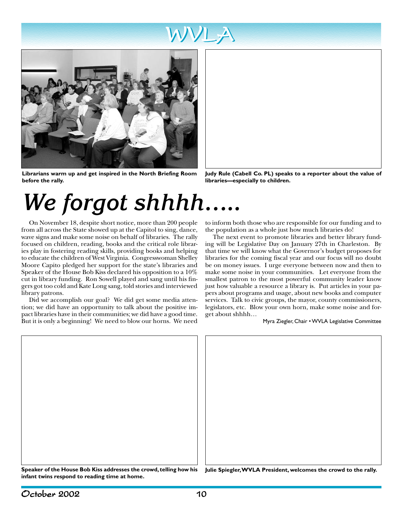



**Librarians warm up and get inspired in the North Briefing Room before the rally.**



**Judy Rule (Cabell Co. PL) speaks to a reporter about the value of libraries—especially to children.**

# *We forgot shhhh…..*

On November 18, despite short notice, more than 200 people from all across the State showed up at the Capitol to sing, dance, wave signs and make some noise on behalf of libraries. The rally focused on children, reading, books and the critical role libraries play in fostering reading skills, providing books and helping to educate the children of West Virginia. Congresswoman Shelley Moore Capito pledged her support for the state's libraries and Speaker of the House Bob Kiss declared his opposition to a 10% cut in library funding. Ron Sowell played and sang until his fingers got too cold and Kate Long sang, told stories and interviewed library patrons.

Did we accomplish our goal? We did get some media attention; we did have an opportunity to talk about the positive impact libraries have in their communities; we did have a good time. But it is only a beginning! We need to blow our horns. We need to inform both those who are responsible for our funding and to the population as a whole just how much libraries do!

The next event to promote libraries and better library funding will be Legislative Day on January 27th in Charleston. By that time we will know what the Governor's budget proposes for libraries for the coming fiscal year and our focus will no doubt be on money issues. I urge everyone between now and then to make some noise in your communities. Let everyone from the smallest patron to the most powerful community leader know just how valuable a resource a library is. Put articles in your papers about programs and usage, about new books and computer services. Talk to civic groups, the mayor, county commissioners, legislators, etc. Blow your own horn, make some noise and forget about shhhh…

Myra Ziegler, Chair • WVLA Legislative Committee



**infant twins respond to reading time at home.**

October 2002 10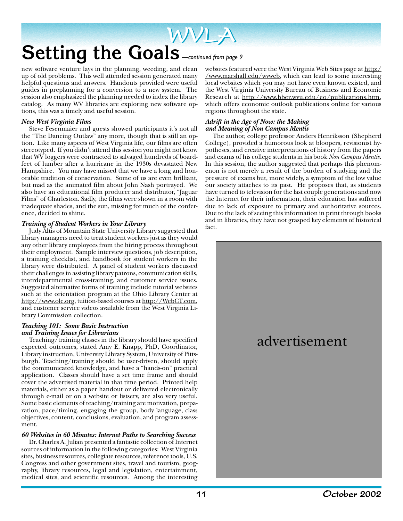### WVLA WVLA **Setting the Goals** *—continued from page 9*

new software venture lays in the planning, weeding, and clean up of old problems. This well attended session generated many helpful questions and answers. Handouts provided were useful guides in preplanning for a conversion to a new system. The session also emphasized the planning needed to index the library catalog. As many WV libraries are exploring new software options, this was a timely and useful session.

#### *New West Virginia Films*

Steve Fesenmaier and guests showed participants it's not all the "The Dancing Outlaw" any more, though that is still an option. Like many aspects of West Virginia life, our films are often stereotyped. If you didn't attend this session you might not know that WV loggers were contracted to salvaged hundreds of boardfeet of lumber after a hurricane in the 1930s devastated New Hampshire. You may have missed that we have a long and honorable tradition of conservation. Some of us are even brilliant, but mad as the animated film about John Nash portrayed. We also have an educational film producer and distributor, "Jaguar Films" of Charleston. Sadly, the films were shown in a room with inadequate shades, and the sun, missing for much of the conference, decided to shine.

#### *Training of Student Workers in Your Library*

Judy Altis of Mountain State University Library suggested that library managers need to treat student workers just as they would any other library employees from the hiring process throughout their employment. Sample interview questions, job description, a training checklist, and handbook for student workers in the library were distributed. A panel of student workers discussed their challenges in assisting library patrons, communication skills, interdepartmental cross-training, and customer service issues. Suggested alternative forms of training include tutorial websites such at the orientation program at the Ohio Library Center at http://www.olc.org, tuition-based courses at http://WebCT.com, and customer service videos available from the West Virginia Library Commission collection.

#### *Teaching 101: Some Basic Instruction and Training Issues for Librarians*

Teaching/training classes in the library should have specified expected outcomes, stated Amy E. Knapp, PhD, Coordinator, Library instruction, University Library System, University of Pittsburgh. Teaching/training should be user-driven, should apply the communicated knowledge, and have a "hands-on" practical application. Classes should have a set time frame and should cover the advertised material in that time period. Printed help materials, either as a paper handout or delivered electronically through e-mail or on a website or listserv, are also very useful. Some basic elements of teaching/training are motivation, preparation, pace/timing, engaging the group, body language, class objectives, content, conclusions, evaluation, and program assessment.

#### *60 Websites in 60 Minutes: Internet Paths to Searching Success*

Dr. Charles A. Julian presented a fantastic collection of Internet sources of information in the following categories: West Virginia sites, business resources, collegiate resources, reference tools, U.S. Congress and other government sites, travel and tourism, geography, library resources, legal and legislation, entertainment, medical sites, and scientific resources. Among the interesting websites featured were the West Virginia Web Sites page at http:/ /www.marshall.edu/wvweb, which can lead to some interesting local websites which you may not have even known existed, and the West Virginia University Bureau of Business and Economic Research at http://www.bber.wvu.edu/eo/publications.htm, which offers economic outlook publications online for various regions throughout the state.

#### *Adrift in the Age of Now: the Making and Meaning of Non Campus Mentis*

The author, college professor Anders Henriksson (Shepherd College), provided a humorous look at bloopers, revisionist hypotheses, and creative interpretations of history from the papers and exams of his college students in his book *Non Campus Mentis.* In this session, the author suggested that perhaps this phenomenon is not merely a result of the burden of studying and the pressure of exams but, more widely, a symptom of the low value our society attaches to its past. He proposes that, as students have turned to television for the last couple generations and now the Internet for their information, their education has suffered due to lack of exposure to primary and authoritative sources. Due to the lack of seeing this information in print through books and in libraries, they have not grasped key elements of historical fact.